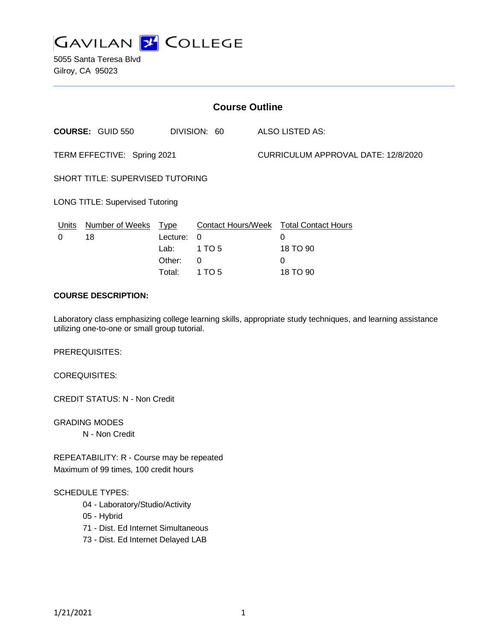

5055 Santa Teresa Blvd Gilroy, CA 95023

| <b>Course Outline</b>                   |                              |                                           |                                               |                                     |                                                  |
|-----------------------------------------|------------------------------|-------------------------------------------|-----------------------------------------------|-------------------------------------|--------------------------------------------------|
|                                         | <b>COURSE: GUID 550</b>      |                                           | DIVISION: 60                                  |                                     | ALSO LISTED AS:                                  |
| TERM EFFECTIVE: Spring 2021             |                              |                                           |                                               | CURRICULUM APPROVAL DATE: 12/8/2020 |                                                  |
| <b>SHORT TITLE: SUPERVISED TUTORING</b> |                              |                                           |                                               |                                     |                                                  |
| <b>LONG TITLE: Supervised Tutoring</b>  |                              |                                           |                                               |                                     |                                                  |
| Units<br>0                              | <b>Number of Weeks</b><br>18 | <u>Type</u><br>Lecture:<br>Lab:<br>Other: | <b>Contact Hours/Week</b><br>0<br>1 TO 5<br>0 |                                     | <b>Total Contact Hours</b><br>0<br>18 TO 90<br>0 |
|                                         |                              | Total:                                    | 1 TO 5                                        |                                     | 18 TO 90                                         |

# **COURSE DESCRIPTION:**

Laboratory class emphasizing college learning skills, appropriate study techniques, and learning assistance utilizing one-to-one or small group tutorial.

PREREQUISITES:

COREQUISITES:

CREDIT STATUS: N - Non Credit

GRADING MODES N - Non Credit

REPEATABILITY: R - Course may be repeated Maximum of 99 times, 100 credit hours

#### SCHEDULE TYPES:

- 04 Laboratory/Studio/Activity
- 05 Hybrid
- 71 Dist. Ed Internet Simultaneous
- 73 Dist. Ed Internet Delayed LAB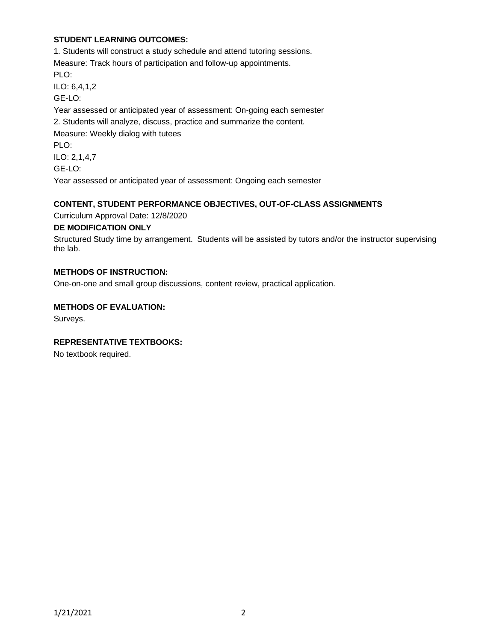# **STUDENT LEARNING OUTCOMES:**

1. Students will construct a study schedule and attend tutoring sessions. Measure: Track hours of participation and follow-up appointments. PLO: ILO: 6,4,1,2 GE-LO: Year assessed or anticipated year of assessment: On-going each semester 2. Students will analyze, discuss, practice and summarize the content. Measure: Weekly dialog with tutees PLO: ILO: 2,1,4,7 GE-LO: Year assessed or anticipated year of assessment: Ongoing each semester

### **CONTENT, STUDENT PERFORMANCE OBJECTIVES, OUT-OF-CLASS ASSIGNMENTS**

Curriculum Approval Date: 12/8/2020

### **DE MODIFICATION ONLY**

Structured Study time by arrangement. Students will be assisted by tutors and/or the instructor supervising the lab.

# **METHODS OF INSTRUCTION:**

One-on-one and small group discussions, content review, practical application.

### **METHODS OF EVALUATION:**

Surveys.

# **REPRESENTATIVE TEXTBOOKS:**

No textbook required.